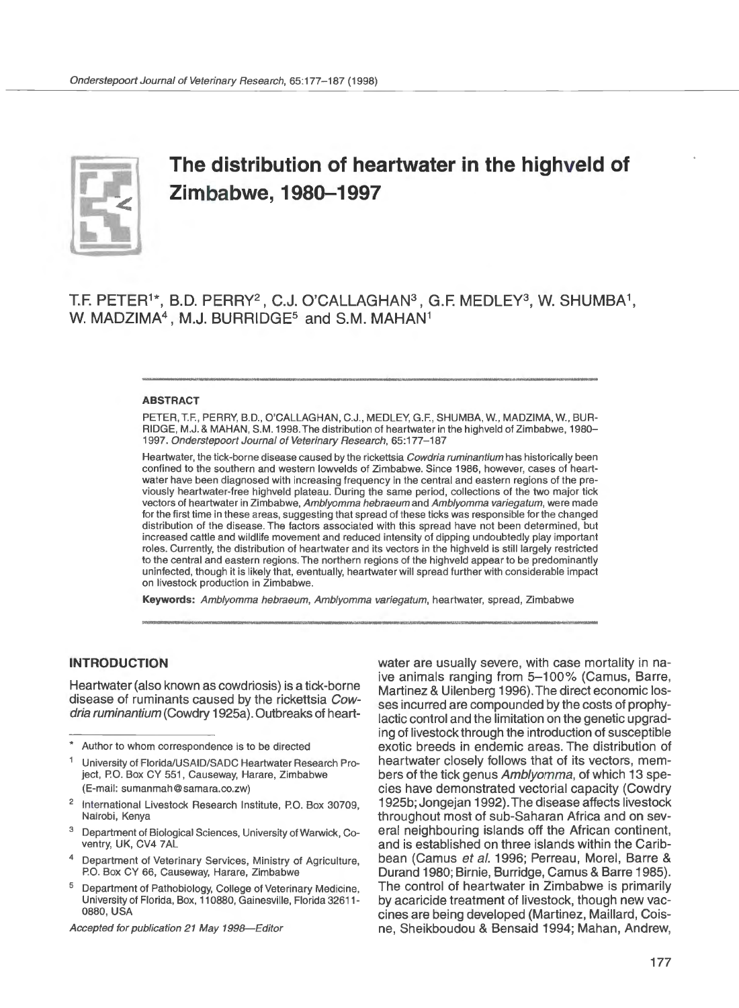

# **The distribution of heartwater in the highveld of Zimbabwe, 1980-1997**

T.F. PETER<sup>1\*</sup>, B.D. PERRY<sup>2</sup>, C.J. O'CALLAGHAN<sup>3</sup>, G.F. MEDLEY<sup>3</sup>, W. SHUMBA<sup>1</sup>, W. MADZIMA<sup>4</sup>, M.J. BURRIDGE<sup>5</sup> and S.M. MAHAN<sup>1</sup>

#### ABSTRACT

PETER, T.F., PERRY, B.D., O'CALLAGHAN, C.J., MEDLEY, G.F., SHUMBA, W., MADZIMA, W., BUR-RIDGE, M.J. & MAHAN, S.M. 1998. The distribution of heartwater in the highveld of Zimbabwe, 1980- 1997. Onderstepoort Journal of Veterinary Research, 65:177-187

Heartwater, the tick-borne disease caused by the rickettsia Cowdria ruminantium has historically been confined to the southern and western lowvelds of Zimbabwe. Since 1986, however, cases of heartwater have been diagnosed with increasing frequency in the central and eastern regions of the previously heartwater-free highveld plateau. During the same period, collections of the two major tick vectors of heartwater in Zimbabwe, Amblyomma hebraeum and Amblyomma variegatum, were made for the first time in these areas, suggesting that spread of these ticks was responsible for the changed distribution of the disease. The factors associated with this spread have not been determined, but increased cattle and wildlife movement and reduced intensity of dipping undoubtedly play important roles. Currently, the distribution of heartwater and its vectors in the highveld is still largely restricted to the central and eastern regions. The northern regions of the highveld appear to be predominantly uninfected, though it is likely that, eventually, heartwater will spread further with considerable impact on livestock production in Zimbabwe.

Keywords: Amblyomma hebraeum, Amblyomma variegatum, heartwater, spread, Zimbabwe

# **INTRODUCTION**

Heartwater (also known as cowdriosis) is a tick-borne disease of ruminants caused by the rickettsia Cowdria ruminantium (Cowdry 1925a). Outbreaks of heart-

- 1 University of Florida/USAID/SADC Heartwater Research Project, P.O. Box CY 551, Causeway, Harare, Zimbabwe (E-mail: sumanmah@ samara.co.zw)
- <sup>2</sup> International Livestock Research Institute, P.O. Box 30709, Nairobi, Kenya
- <sup>3</sup> Department of Biological Sciences, University of Warwick, Coventry, UK, CV4 7AL
- Department of Veterinary Services, Ministry of Agriculture, PO. Box CY 66, Causeway, Harare, Zimbabwe
- <sup>5</sup>Department of Pathobiology, College of Veterinary Medicine, University of Florida, Box, 110880, Gainesville, Florida 32611- 0880, USA

Accepted for publication 21 May 1998-Editor

water are usually severe, with case mortality in naive animals ranging from 5-100% (Camus, Barre, Martinez & Uilenberg 1996). The direct economic losses incurred are compounded by the costs of prophylactic control and the limitation on the genetic upgrading of livestock through the introduction of susceptible exotic breeds in endemic areas. The distribution of heartwater closely follows that of its vectors, members of the tick genus Amblyomma, of which 13 species have demonstrated vectorial capacity (Cowdry 1925b; Jongejan 1992). The disease affects livestock throughout most of sub-Saharan Africa and on several neighbouring islands off the African continent, and is established on three islands within the Caribbean (Camus et al. 1996; Perreau, Morel, Barre & Durand 1980; Birnie, Burridge, Camus & Barre 1985). The control of heartwater in Zimbabwe is primarily by acaricide treatment of livestock, though new vaccines are being developed (Martinez, Maillard, Coisne, Sheikboudou & Bensaid 1994; Mahan, Andrew,

Author to whom correspondence is to be directed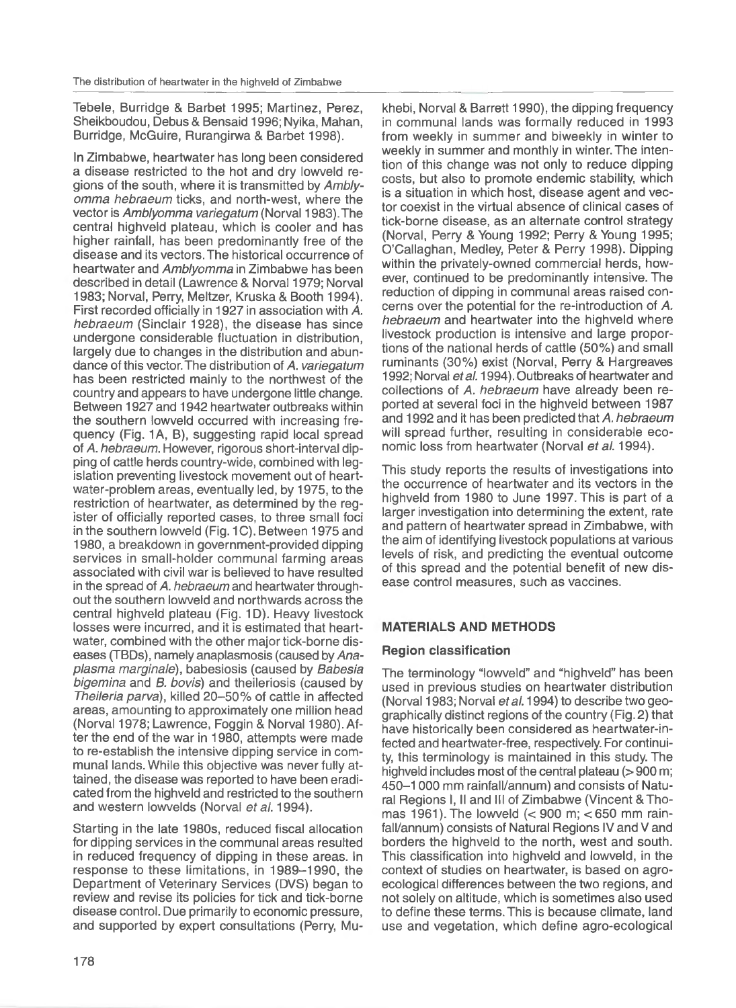Tebele, Burridge & Barbet 1995; Martinez, Perez, Sheikboudou, Debus & Bensaid 1996; Nyika, Mahan, Burridge, McGuire, Rurangirwa & Barbet 1998).

In Zimbabwe, heartwater has long been considered a disease restricted to the hot and dry lowveld regions of the south, where it is transmitted by Amblyomma hebraeum ticks, and north-west, where the vector is Amblyomma variegatum (Norval 1983). The central highveld plateau, which is cooler and has higher rainfall, has been predominantly free of the disease and its vectors. The historical occurrence of heartwater and Amblyomma in Zimbabwe has been described in detail (Lawrence & Norval 1979; Norval 1983; Norval, Perry, Meltzer, Kruska & Booth 1994). First recorded officially in 1927 in association with *A.*  hebraeum (Sinclair 1928), the disease has since undergone considerable fluctuation in distribution, largely due to changes in the distribution and abundance of this vector. The distribution of *A.* variegatum has been restricted mainly to the northwest of the country and appears to have undergone little change. Between 1927 and 1942 heartwater outbreaks within the southern lowveld occurred with increasing frequency (Fig. 1A, B), suggesting rapid local spread of *A.* hebraeum. However, rigorous short-interval dipping of cattle herds country-wide, combined with legislation preventing livestock movement out of heartwater-problem areas, eventually led, by 1975, to the restriction of heartwater, as determined by the register of officially reported cases, to three small foci in the southern lowveld (Fig. 1C). Between 1975 and 1980, a breakdown in government-provided dipping services in small-holder communal farming areas associated with civil war is believed to have resulted in the spread of *A.* hebraeum and heartwater throughout the southern lowveld and northwards across the central highveld plateau (Fig. 1D). Heavy livestock losses were incurred, and it is estimated that heartwater, combined with the other major tick-borne diseases (TBDs), namely anaplasmosis (caused by Anaplasma marginate), babesiosis (caused by Babesia bigemina and B. bovis) and theileriosis (caused by Theileria parva), killed 20-50% of cattle in affected areas, amounting to approximately one million head (Norval 1978; Lawrence, Foggin & Norval 1980). After the end of the war in 1980, attempts were made to re-establish the intensive dipping service in communal lands. While this objective was never fully attained, the disease was reported to have been eradicated from the highveld and restricted to the southern and western lowvelds (Norval et al. 1994).

Starting in the late 1980s, reduced fiscal allocation for dipping services in the communal areas resulted in reduced frequency of dipping in these areas. In response to these limitations, in 1989- 1990, the Department of Veterinary Services (DVS) began to review and revise its policies for tick and tick-borne disease control. Due primarily to economic pressure, and supported by expert consultations (Perry, Mu-

khebi, Norval & Barrett 1990), the dipping frequency in communal lands was formally reduced in 1993 from weekly in summer and biweekly in winter to weekly in summer and monthly in winter. The intention of this change was not only to reduce dipping costs, but also to promote endemic stability, which is a situation in which host, disease agent and vector coexist in the virtual absence of clinical cases of tick-borne disease, as an alternate control strategy (Norval, Perry & Young 1992; Perry & Young 1995; O'Callaghan, Medley, Peter & Perry 1998). Dipping within the privately-owned commercial herds, however, continued to be predominantly intensive. The reduction of dipping in communal areas raised concerns over the potential for the re-introduction of *A.*  hebraeum and heartwater into the highveld where livestock production is intensive and large proportions of the national herds of cattle (50%) and small ruminants (30%) exist (Norval, Perry & Hargreaves 1992; Norval et al. 1994). Outbreaks of heartwater and collections of *A.* hebraeum have already been reported at several foci in the highveld between 1987 and 1992 and it has been predicted that *A.* hebraeum will spread further, resulting in considerable economic loss from heartwater (Norval et al. 1994).

This study reports the results of investigations into the occurrence of heartwater and its vectors in the highveld from 1980 to June 1997. This is part of a larger investigation into determining the extent, rate and pattern of heartwater spread in Zimbabwe, with the aim of identifying livestock populations at various levels of risk, and predicting the eventual outcome of this spread and the potential benefit of new disease control measures, such as vaccines.

# **MATERIALS AND METHODS**

# **Region classification**

The terminology "lowveld" and "highveld" has been used in previous studies on heartwater distribution (Norval 1983; Norval et al. 1994) to describe two geographically distinct regions of the country (Fig. 2) that have historically been considered as heartwater-infected and heartwater-free, respectively. For continuity, this terminology is maintained in this study. The highveld includes most of the central plateau (> 900 m; 450- 1 000 mm rainfall/annum) and consists of Natural Regions I, II and Ill of Zimbabwe (Vincent & Thomas 1961). The lowveld  $(< 900$  m;  $< 650$  mm rainfall/annum) consists of Natural Regions IV and V and borders the highveld to the north, west and south. This classification into highveld and lowveld, in the context of studies on heartwater, is based on agroecological differences between the two regions, and not solely on altitude, which is sometimes also used to define these terms. This is because climate, land use and vegetation, which define agro-ecological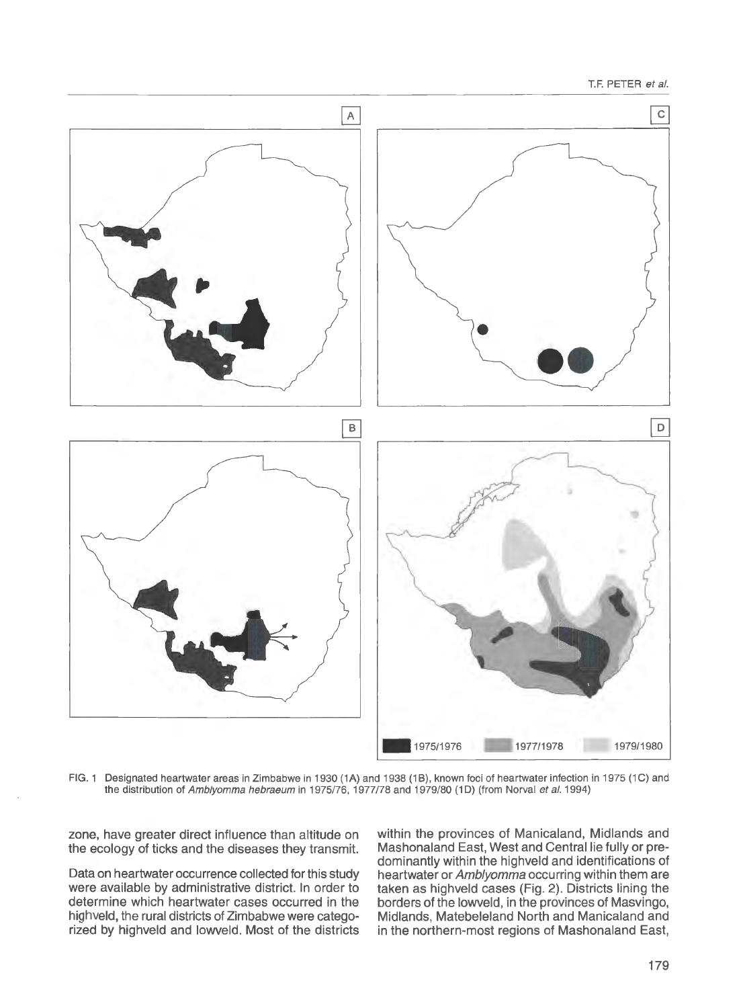T.F. PETER et al.



FIG. 1 Designated heartwater areas in Zimbabwe in 1930 (1A) and 1938 (1B), known foci of heartwater infection in 1975 (1C) and the distribution of Amblyomma hebraeum in 1975/76, 1977/78 and 1979/80 (1D) (from Norval et al. 1994)

zone, have greater direct influence than altitude on the ecology of ticks and the diseases they transmit.

Data on heartwater occurrence collected for this study were available by administrative district. In order to determine which heartwater cases occurred in the highveld, the rural districts of Zimbabwe were categorized by highveld and lowveld. Most of the districts within the provinces of Manicaland, Midlands and Mashonaland East, West and Central lie fully or predominantly within the highveld and identifications of heartwater or Amblyomma occurring within them are taken as highveld cases (Fig. 2). Districts lining the borders of the lowveld, in the provinces of Masvingo, Midlands, Matebeleland North and Manicaland and in the northern-most regions of Mashonaland East,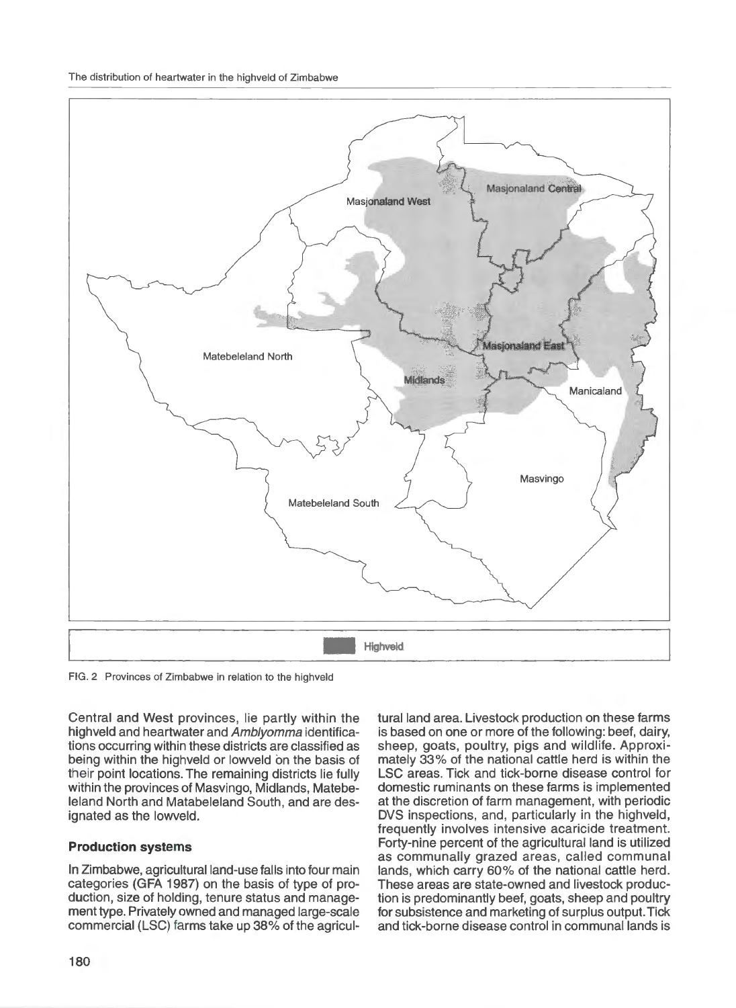The distribution of heartwater in the highveld of Zimbabwe



FIG. 2 Provinces of Zimbabwe in relation to the highveld

Central and West provinces, lie partly within the highveld and heartwater and Amblyomma identifications occurring within these districts are classified as being within the highveld or lowveld on the basis of their point locations. The remaining districts lie tully within the provinces of Masvingo, Midlands, Matebeleland North and Matabeleland South, and are designated as the lowveld.

# **Production systems**

In Zimbabwe, agricultural land-use falls into tour main categories (GFA 1987) on the basis of type of production, size of holding, tenure status and management type. Privately owned and managed large-scale commercial (LSC) farms take up 38% of the agricultural land area. Livestock production on these farms is based on one or more of the following: beef, dairy, sheep, goats, poultry, pigs and wildlife. Approximately 33% of the national cattle herd is within the LSC areas. Tick and tick-borne disease control for domestic ruminants on these farms is implemented at the discretion of farm management, with periodic DVS inspections, and, particularly in the highveld, frequently involves intensive acaricide treatment. Forty-nine percent of the agricultural land is utilized as communally grazed areas, called communal lands, which carry 60% of the national cattle herd. These areas are state-owned and livestock production is predominantly beet, goats, sheep and poultry tor subsistence and marketing of surplus output. Tick and tick-borne disease control in communal lands is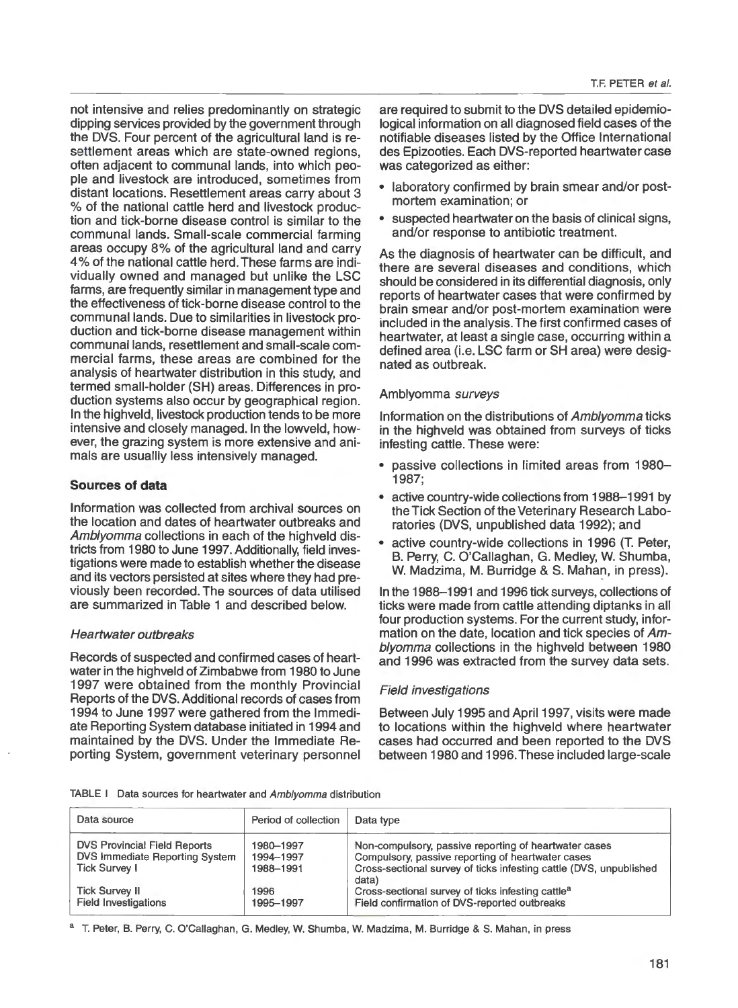not intensive and relies predominantly on strategic dipping services provided by the government through the DVS. Four percent of the agricultural land is resettlement areas which are state-owned regions, often adjacent to communal lands, into which people and livestock are introduced, sometimes from distant locations. Resettlement areas carry about 3 % of the national cattle herd and livestock production and tick-borne disease control is similar to the communal lands. Small-scale commercial farming areas occupy 8% of the agricultural land and carry 4% of the national cattle herd. These farms are individually owned and managed but unlike the LSC farms, are frequently similar in management type and the effectiveness of tick-borne disease control to the communal lands. Due to similarities in livestock production and tick-borne disease management within communal lands, resettlement and small-scale commercial farms, these areas are combined for the analysis of heartwater distribution in this study, and termed small-holder (SH) areas. Differences in production systems also occur by geographical region. In the highveld, livestock production tends to be more intensive and closely managed. In the lowveld, however, the grazing system is more extensive and animals are usuallly less intensively managed.

# **Sources of data**

Information was collected from archival sources on the location and dates of heartwater outbreaks and Amblyomma collections in each of the highveld districts from 1980 to June 1997. Additionally, field investigations were made to establish whether the disease and its vectors persisted at sites where they had previously been recorded. The sources of data utilised are summarized in Table 1 and described below.

# Heartwater outbreaks

Records of suspected and confirmed cases of heartwater in the highveld of Zimbabwe from 1980 to June 1997 were obtained from the monthly Provincial Reports of the DVS. Additional records of cases from 1994 to June 1997 were gathered from the Immediate Reporting System database initiated in 1994 and maintained by the DVS. Under the Immediate Reporting System, government veterinary personnel

are required to submit to the DVS detailed epidemiological information on all diagnosed field cases of the notifiable diseases listed by the Office International des Epizooties. Each DVS-reported heartwater case was categorized as either:

- laboratory confirmed by brain smear and/or postmortem examination; or
- suspected heartwater on the basis of clinical signs, and/or response to antibiotic treatment.

As the diagnosis of heartwater can be difficult, and there are several diseases and conditions, which should be considered in its differential diagnosis, only reports of heartwater cases that were confirmed by brain smear and/or post-mortem examination were included in the analysis. The first confirmed cases of heartwater, at least a single case, occurring within a defined area (i.e. LSC farm or SH area) were designated as outbreak.

# Amblyomma surveys

Information on the distributions of Amblyomma ticks in the highveld was obtained from surveys of ticks infesting cattle. These were:

- passive collections in limited areas from 1980- 1987;
- active country-wide collections from 1988-1991 by the Tick Section of the Veterinary Research Laboratories (DVS, unpublished data 1992); and
- active country-wide collections in 1996 (T. Peter, B. Perry, C. O'Callaghan, G. Medley, W. Shumba, W. Madzima, M. Burridge & S. Mahan, in press).

In the 1988-1991 and 1996 tick surveys, collections of ticks were made from cattle attending diptanks in all four production systems. For the current study, information on the date, location and tick species of Amblyomma collections in the highveld between 1980 and 1996 was extracted from the survey data sets.

# Field investigations

Between July 1995 and April 1997, visits were made to locations within the highveld where heartwater cases had occurred and been reported to the DVS between 1980 and 1996. These included large-scale

TABLE I Data sources for heartwater and Amblyomma distribution

| Data source                                                           | Period of collection   | Data type                                                                                                  |
|-----------------------------------------------------------------------|------------------------|------------------------------------------------------------------------------------------------------------|
|                                                                       |                        |                                                                                                            |
| <b>DVS Provincial Field Reports</b><br>DVS Immediate Reporting System | 1980-1997<br>1994-1997 | Non-compulsory, passive reporting of heartwater cases<br>Compulsory, passive reporting of heartwater cases |
| <b>Tick Survey I</b>                                                  | 1988-1991              | Cross-sectional survey of ticks infesting cattle (DVS, unpublished                                         |
|                                                                       |                        | data)                                                                                                      |
| <b>Tick Survey II</b>                                                 | 1996                   | Cross-sectional survey of ticks infesting cattle <sup>a</sup>                                              |
| <b>Field Investigations</b>                                           | 1995-1997              | Field confirmation of DVS-reported outbreaks                                                               |

<sup>a</sup> T. Peter, B. Perry, C. O'Callaghan, G. Medley, W. Shumba, W. Madzima, M. Burridge & S. Mahan, in press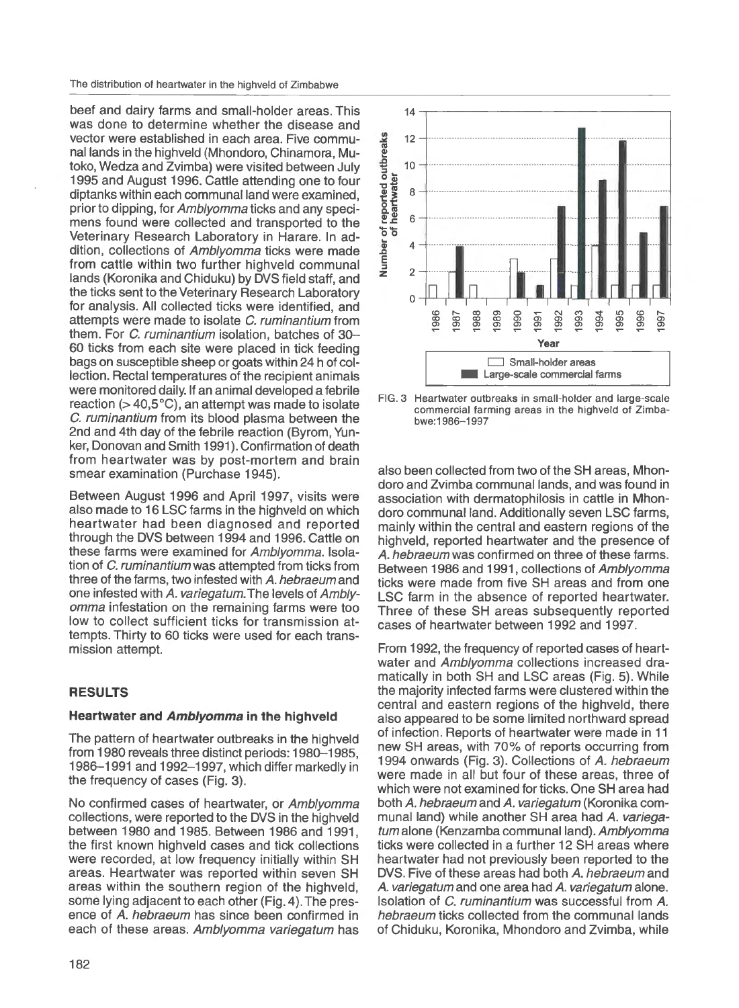The distribution of heartwater in the highveld of Zimbabwe

beef and dairy farms and small-holder areas. This was done to determine whether the disease and vector were established in each area. Five communal lands in the highveld (Mhondoro, Chinamora, Mutoko, Wedza and Zvimba) were visited between July 1995 and August 1996. Cattle attending one to four diptanks within each communal land were examined, prior to dipping, for Amblyomma ticks and any specimens found were collected and transported to the Veterinary Research Laboratory in Harare. In addition, collections of Amblyomma ticks were made from cattle within two further highveld communal lands (Koronika and Chiduku) by DVS field staff, and the ticks sent to the Veterinary Research Laboratory for analysis. All collected ticks were identified, and attempts were made to isolate C. ruminantium from them. For C. ruminantium isolation, batches of 30-60 ticks from each site were placed in tick feeding bags on susceptible sheep or goats within 24 h of collection. Rectal temperatures of the recipient animals were monitored daily. If an animal developed a febrile reaction ( $>$  40,5 $^{\circ}$ C), an attempt was made to isolate C. ruminantium from its blood plasma between the 2nd and 4th day of the febrile reaction (Byrom, Yunker, Donovan and Smith 1991). Confirmation of death from heartwater was by post-mortem and brain smear examination (Purchase 1945).

Between August 1996 and April 1997, visits were also made to 16 LSC farms in the highveld on which heartwater had been diagnosed and reported through the DVS between 1994 and 1996. Cattle on these farms were examined for Amblyomma. Isolation of C. ruminantium was attempted from ticks from three of the farms, two infested with *A.* hebraeum and one infested with *A.* variegatum. The levels of Amblyomma infestation on the remaining farms were too low to collect sufficient ticks for transmission attempts. Thirty to 60 ticks were used for each transmission attempt.

# **RESULTS**

# **Heartwater and Amblyomma in the highveld**

The pattern of heartwater outbreaks in the highveld from 1980 reveals three distinct periods: 1980-1985, 1986- 1991 and 1992-1997, which differ markedly in the frequency of cases (Fig. 3).

No confirmed cases of heartwater, or Amblyomma collections, were reported to the DVS in the highveld between 1980 and 1985. Between 1986 and 1991 , the first known highveld cases and tick collections were recorded, at low frequency initially within SH areas. Heartwater was reported within seven SH areas within the southern region of the highveld, some lying adjacent to each other (Fig. 4). The presence of *A.* hebraeum has since been confirmed in each of these areas. Amblyomma variegatum has



FIG. 3 Heartwater outbreaks in small-holder and large-scale commercial farming areas in the highveld of Zimbabwe:1986-1997

also been collected from two of the SH areas, Mhondoro and Zvimba communal lands, and was found in association with dermatophilosis in cattle in Mhondoro communal land. Additionally seven LSC farms, mainly within the central and eastern regions of the highveld, reported heartwater and the presence of A. *hebraeum* was confirmed on three of these farms. Between 1986 and 1991, collections of Amblyomma ticks were made from five SH areas and from one LSC farm in the absence of reported heartwater. Three of these SH areas subsequently reported cases of heartwater between 1992 and 1997.

From 1992, the frequency of reported cases of heartwater and Amblyomma collections increased dramatically in both SH and LSC areas (Fig. 5). While the majority infected farms were clustered within the central and eastern regions of the highveld, there also appeared to be some limited northward spread of infection. Reports of heartwater were made in 11 new SH areas, with 70% of reports occurring from 1994 onwards (Fig. 3). Collections of *A.* hebraeum were made in all but four of these areas, three of which were not examined for ticks. One SH area had both *A.* hebraeum and *A.* variegatum (Koronika communal land) while another SH area had *A.* variegatum alone (Kenzamba communal land). Amblyomma ticks were collected in a further 12 SH areas where heartwater had not previously been reported to the DVS. Five of these areas had both *A.* hebraeum and *A.* variegatum and one area had *A.* variegatum alone. Isolation of C. ruminantium was successful from *A.*  hebraeum ticks collected from the communal lands of Chiduku, Koronika, Mhondoro and Zvimba, while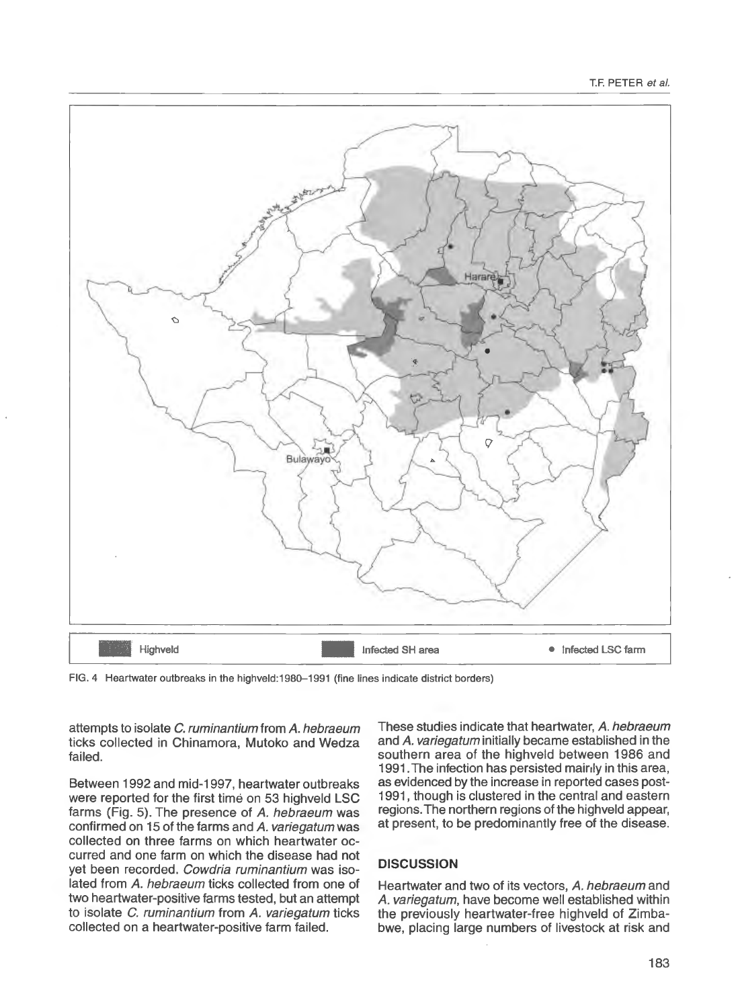

FIG. 4 Heartwater outbreaks in the highveld:1980-1991 (fine lines indicate district borders)

attempts to isolate C. ruminantium from *A.* hebraeum ticks collected in Chinamora, Mutoko and Wedza failed.

Between 1992 and mid-1997, heartwater outbreaks were reported for the first time on 53 highveld LSC farms (Fig. 5). The presence of *A.* hebraeum was confirmed on 15 of the farms and *A.* variegatum was collected on three farms on which heartwater occurred and one farm on which the disease had not yet been recorded. Cowdria ruminantium was isolated from *A.* hebraeum ticks collected from one of two heartwater-positive farms tested, but an attempt to isolate C. ruminantium from *A.* variegatum ticks collected on a heartwater-positive farm failed.

These studies indicate that heartwater, *A.* hebraeum and *A.* variegatum initially became established in the southern area of the highveld between 1986 and 1991. The infection has persisted mairly in this area, as evidenced by the increase in reported cases post-1991, though is clustered in the central and eastern regions. The northern regions of the highveld appear, at present, to be predominantly free of the disease.

# **DISCUSSION**

Heartwater and two of its vectors, *A.* hebraeum and *A.* variegatum, have become well established within the previously heartwater-free highveld of Zimbabwe, placing large numbers of livestock at risk and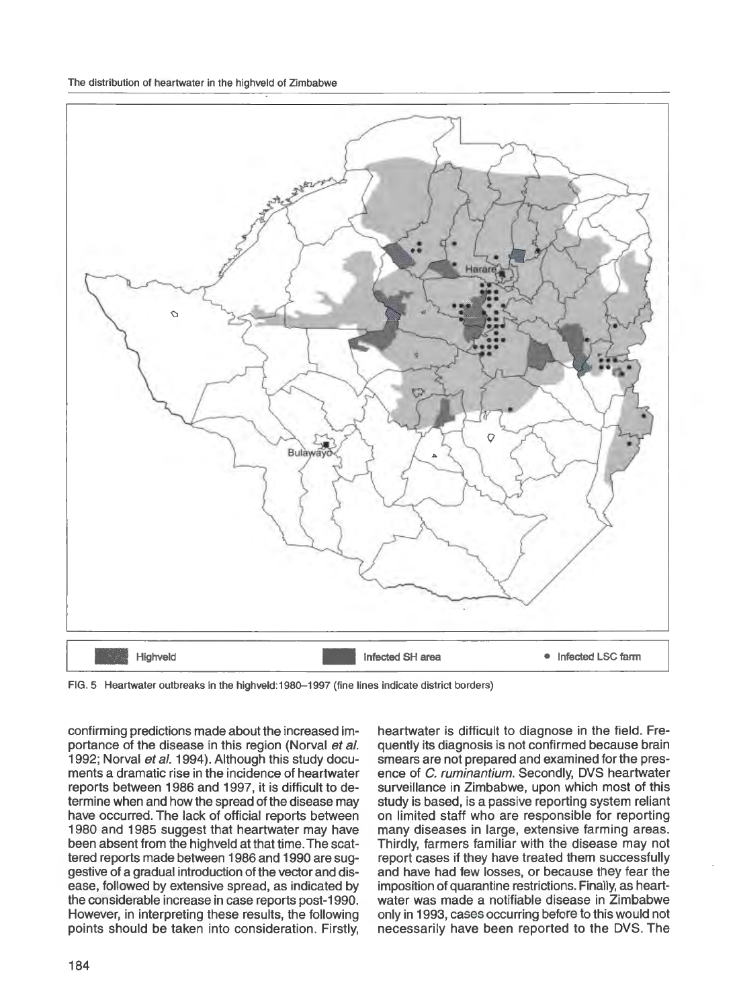The distribution of heartwater in the highveld of Zimbabwe



FIG. 5 Heartwater outbreaks in the highveld: 1980-1997 (fine lines indicate district borders)

confirming predictions made about the increased importance of the disease in this region (Norval et al. 1992; Norval et al. 1994). Although this study documents a dramatic rise in the incidence of heartwater reports between 1986 and 1997, it is difficult to determine when and how the spread of the disease may have occurred. The lack of official reports between 1980 and 1985 suggest that heartwater may have been absent from the highveld at that time. The scattered reports made between 1986 and 1990 are suggestive of a gradual introduction of the vector and disease, followed by extensive spread, as indicated by the considerable increase in case reports post-1990. However, in interpreting these results, the following points should be taken into consideration. Firstly,

heartwater is difficult to diagnose in the field. Frequently its diagnosis is not confirmed because brain smears are not prepared and examined for the presence of C. ruminantium. Secondly, DVS heartwater surveillance in Zimbabwe, upon which most of this study is based, is a passive reporting system reliant on limited staff who are responsible for reporting many diseases in large, extensive farming areas. Thirdly, farmers familiar with the disease may not report cases if they have treated them successfully and have had few losses, or because they fear the imposition of quarantine restrictions. Finally, as heartwater was made a notifiable disease in Zimbabwe only in 1993, cases occurring before to this would not necessarily have been reported to the DVS. The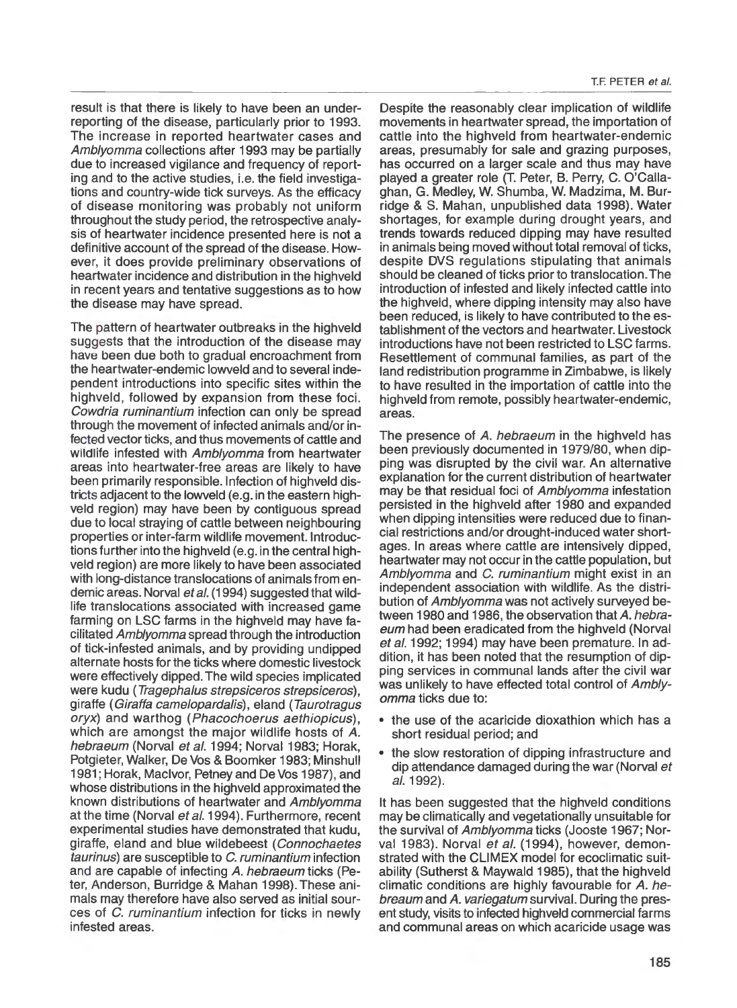result is that there is likely to have been an underreporting of the disease, particularly prior to 1993. The increase in reported heartwater cases and Amblyomma collections after 1993 may be partially due to increased vigilance and frequency of reporting and to the active studies, i.e. the field investigations and country-wide tick surveys. As the efficacy of disease monitoring was probably not uniform throughout the study period, the retrospective analysis of heartwater incidence presented here is not a definitive account of the spread of the disease. However, it does provide preliminary observations of heartwater incidence and distribution in the highveld in recent years and tentative suggestions as to how the disease may have spread.

The pattern of heartwater outbreaks in the highveld suggests that the introduction of the disease may have been due both to gradual encroachment from the heartwater-endemic lowveld and to several independent introductions into specific sites within the highveld, followed by expansion from these foci. Cowdria ruminantium infection can only be spread through the movement of infected animals and/or infected vector ticks, and thus movements of cattle and wildlife infested with Amblyomma from heartwater areas into heartwater-free areas are likely to have been primarily responsible. Infection of highveld districts adjacent to the lowveld (e.g. in the eastern highveld region) may have been by contiguous spread due to local straying of cattle between neighbouring properties or inter-farm wildlife movement. Introductions further into the highveld (e.g. in the central highveld region) are more likely to have been associated with long-distance translocations of animals from endemic areas. Norval et al. (1994) suggested that wildlife translocations associated with increased game farming on LSC farms in the highveld may have facilitated Amblyomma spread through the introduction of tick-infested animals, and by providing undipped alternate hosts for the ticks where domestic livestock were effectively dipped. The wild species implicated were kudu (Tragephalus strepsiceros strepsiceros), giraffe ( Giraffa came/opardalis), eland ( Taurotragus oryx) and warthog (Phacochoerus aethiopicus) , which are amongst the major wildlife hosts of *A.*  hebraeum (Norval et al. 1994; Norval 1983; Horak, Potgieter, Walker, De Vos & Boomker 1983; Minshull 1981; Horak, MacIvor, Petney and De Vos 1987), and whose distributions in the highveld approximated the known distributions of heartwater and Amblyomma at the time (Norval et al. 1994). Furthermore, recent experimental studies have demonstrated that kudu, giraffe, eland and blue wildebeest (Connochaetes taurinus) are susceptible to C. ruminantium infection and are capable of infecting *A.* hebraeum ticks (Peter, Anderson, Burridge & Mahan 1998). These animals may therefore have also served as initial sources of C. ruminantium infection for ticks in newly infested areas.

Despite the reasonably clear implication of wildlife movements in heartwater spread, the importation of cattle into the highveld from heartwater-endemic areas, presumably for sale and grazing purposes, has occurred on a larger scale and thus may have played a greater role (T. Peter, B. Perry, C. O'Callaghan, G. Medley, W. Shumba, W. Madzima, M. Burridge & S. Mahan, unpublished data 1998). Water shortages, for example during drought years, and trends towards reduced dipping may have resulted in animals being moved without total removal of ticks, despite DVS regulations stipulating that animals should be cleaned of ticks prior to translocation. The introduction of infested and likely infected cattle into the highveld, where dipping intensity may also have been reduced, is likely to have contributed to the establishment of the vectors and heartwater. Livestock introductions have not been restricted to LSC farms. Resettlement of communal families, as part of the land redistribution programme in Zimbabwe, is likely to have resulted in the importation of cattle into the highveld from remote, possibly heartwater-endemic, areas.

The presence of *A.* hebraeum in the highveld has been previously documented in 1979/80, when dipping was disrupted by the civil war. An alternative explanation for the current distribution of heartwater may be that residual foci of Amblyomma infestation persisted in the highveld after 1980 and expanded when dipping intensities were reduced due to financial restrictions and/or drought-induced water shortages. In areas where cattle are intensively dipped, heartwater may not occur in the cattle population, but Amblyomma and C. ruminantium might exist in an independent association with wildlife. As the distribution of Amblyomma was not actively surveyed between 1980 and 1986, the observation that *A.* hebraeum had been eradicated from the highveld (Norval et al. 1992; 1994) may have been premature. In addition, it has been noted that the resumption of dipping services in communal lands after the civil war was unlikely to have effected total control of Amblyomma ticks due to:

- the use of the acaricide dioxathion which has a short residual period; and
- the slow restoration of dipping infrastructure and dip attendance damaged during the war (Norval et a/. 1992).

It has been suggested that the highveld conditions may be climatically and vegetationally unsuitable for the surviVal of Amblyomma ticks (Jooste 1967; Norval 1983). Norval et al. (1994), however, demonstrated with the CLIMEX model for ecoclimatic suitability (Sutherst & Maywald 1985), that the highveld climatic conditions are highly favourable for *A.* hebreaum and *A.* variegatum survival. During the present study, visits to infected highveld commercial farms and communal areas on which acaricide usage was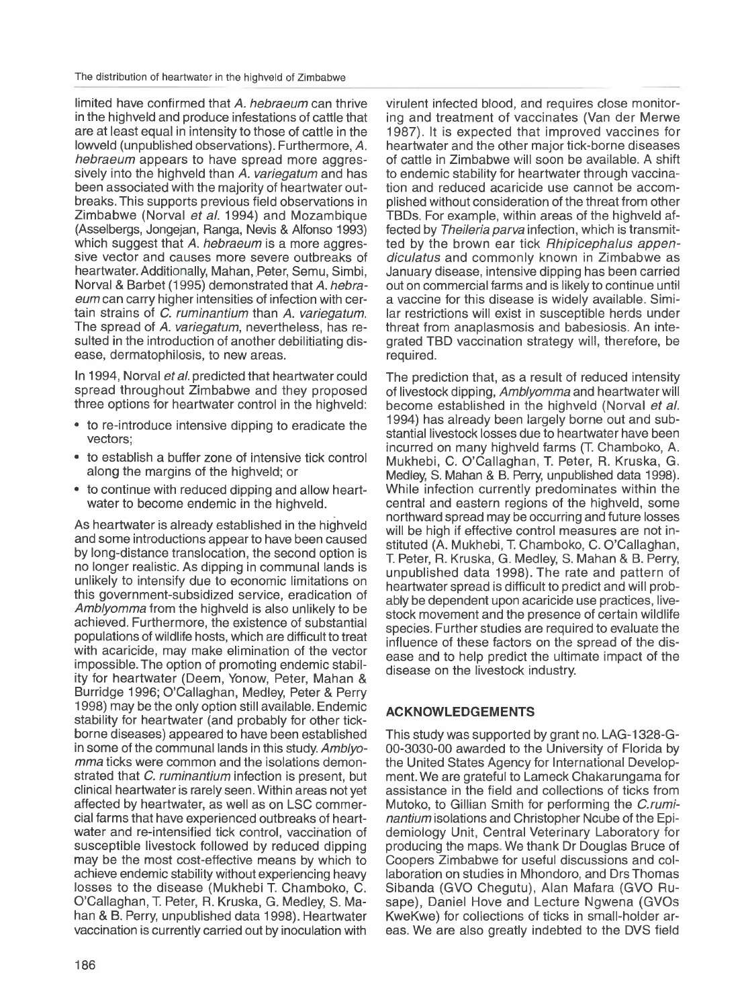limited have confirmed that A. hebraeum can thrive in the highveld and produce infestations of cattle that are at least equal in intensity to those of cattle in the lowveld (unpublished observations). Furthermore, A. hebraeum appears to have spread more aggressively into the highveld than A. variegatum and has been associated with the majority of heartwater outbreaks. This supports previous field observations in Zimbabwe (Norval et al. 1994) and Mozambique (Asselbergs, Jongejan, Ranga, Nevis & Alfonso 1993) which suggest that A. hebraeum is a more aggressive vector and causes more severe outbreaks of heartwater. Additionally, Mahan, Peter, Semu, Simbi, Norval & Barbet (1995) demonstrated that A. hebraeum can carry higher intensities of infection with certain strains of C. ruminantium than A. variegatum. The spread of A. variegatum, nevertheless, has resulted in the introduction of another debilitiating disease, dermatophilosis, to new areas.

In 1994, Norval et al. predicted that heartwater could spread throughout Zimbabwe and they proposed three options for heartwater control in the highveld:

- to re-introduce intensive dipping to eradicate the vectors;
- to establish a buffer zone of intensive tick control along the margins of the highveld; or
- to continue with reduced dipping and allow heartwater to become endemic in the highveld.

As heartwater is already established in the highveld and some introductions appear to have been caused by long-distance translocation, the second option is no longer realistic. As dipping in communal lands is unlikely to intensity due to economic limitations on this government-subsidized service, eradication of Amblyomma from the highveld is also unlikely to be achieved. Furthermore, the existence of substantial populations of wildlife hosts, which are difficult to treat with acaricide, may make elimination of the vector impossible. The option of promoting endemic stability tor heartwater (Deem, Yonow, Peter, Mahan & Burridge 1996; O'Callaghan, Medley, Peter & Perry 1998) may be the only option still available. Endemic stability tor heartwater (and probably tor other tickborne diseases) appeared to have been established in some of the communal lands in this study. Amblyomma ticks were common and the isolations demonstrated that *C. ruminantium* infection is present, but clinical heartwater is rarely seen. Within areas not yet affected by heartwater, as well as on LSC commercial farms that have experienced outbreaks of heartwater and re-intensitied tick control, vaccination of susceptible livestock followed by reduced dipping may be the most cost-effective means by which to achieve endemic stability without experiencing heavy losses to the disease (Mukhebi T. Chamboko, C. O'Callaghan, **T.** Peter, R. Kruska, G. Medley, S. Mahan & B. Perry, unpublished data 1998). Heartwater vaccination is currently carried out by inoculation with

virulent infected blood, and requires close monitoring and treatment of vaccinates (Van der Merwe 1987). It is expected that improved vaccines tor heartwater and the other major tick-borne diseases of cattle in Zimbabwe will soon be available. A shift to endemic stability for heartwater through vaccination and reduced acaricide use cannot be accomplished without consideration of the threat from other TBDs. For example, within areas of the highveld affected by Theileria parva infection, which is transmitted by the brown ear tick Rhipicephalus appendiculatus and commonly known in Zimbabwe as January disease, intensive dipping has been carried out on commercial farms and is likely to continue until a vaccine tor this disease is widely available. Similar restrictions will exist in susceptible herds under threat from anaplasmosis and babesiosis. An integrated TBD vaccination strategy will, therefore, be required.

The prediction that, as a result of reduced intensity of livestock dipping, Amblyomma and heartwater will become established in the highveld (Norval et al. 1994) has already been largely borne out and substantial livestock losses due to heartwater have been incurred on many highveld farms **(T.** Chamboko, A. Mukhebi, C. O'Callaghan, **T.** Peter, R. Kruska, G. Medley, S. Mahan & B. Perry, unpublished data 1998). While infection currently predominates within the central and eastern regions of the highveld, some northward spread may be occurring and future losses will be high if effective control measures are not instituted (A. Mukhebi, T. Chamboko, C. O'Callaghan, T. Peter, R. Kruska, G. Medley, S. Mahan & B. Perry, unpublished data 1998). The rate and pattern of heartwater spread is difficult to predict and will probably be dependent upon acaricide use practices, livestock movement and the presence of certain wildlife species. Further studies are required to evaluate the influence of these factors on the spread of the disease and to help predict the ultimate impact of the disease on the livestock industry.

## **ACKNOWLEDGEMENTS**

This study was supported by grant no. LAG-1328-G-00-3030-00 awarded to the University of Florida by the United States Agency tor International Development. We are grateful to Lameck Chakarungama for assistance in the field and collections of ticks from Mutoko, to Gillian Smith for performing the C.ruminantium isolations and Christopher Ncube of the Epidemiology Unit, Central Veterinary Laboratory tor producing the maps. We thank Dr Douglas Bruce of Coopers Zimbabwe for useful discussions and collaboration on studies in Mhondoro, and Drs Thomas Sibanda (GVO Chegutu), Alan Matara (GVO Rusape), Daniel Hove and Lecture Ngwena (GVOs KweKwe) for collections of ticks in small-holder areas. We are also greatly indebted to the DVS field